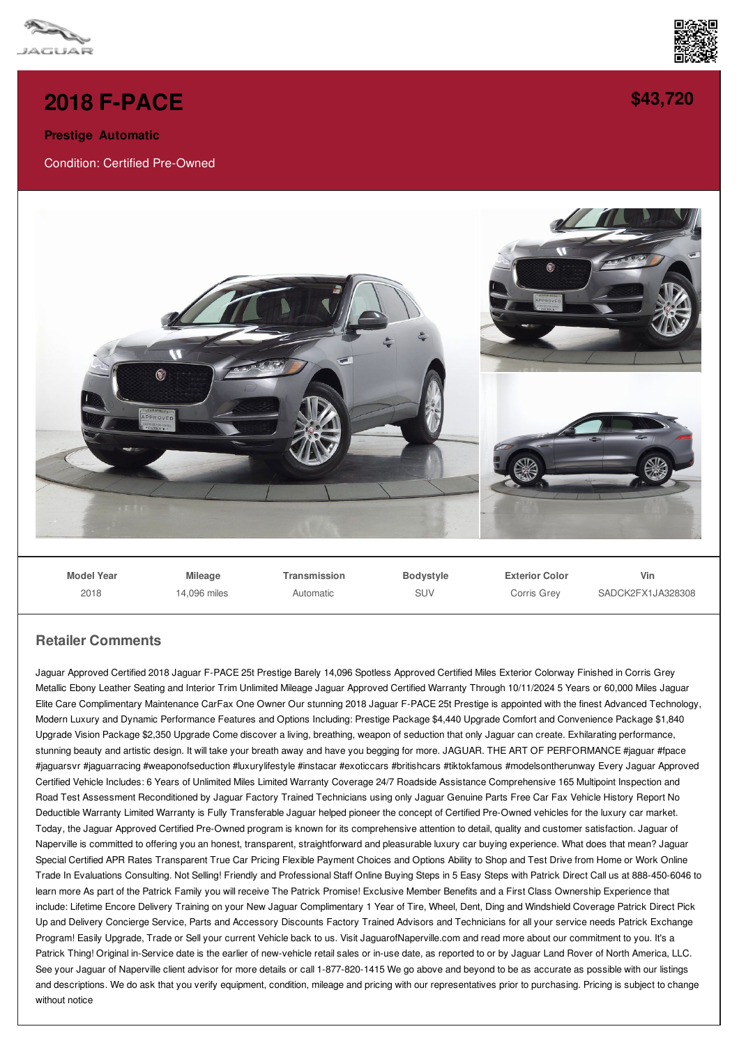

## **2018 [F-PACE](/used-certified/pdf/)**

**Prestige Automatic**

Condition: Certified Pre-Owned



**Model Year** 2018

**Mileage** 14,096 miles **Transmission** Automatic

**Bodystyle SUV** 

**Exterior Color** Corris Grey

**Vin** SADCK2FX1JA328308

## **Retailer Comments**

Jaguar Approved Certified 2018 Jaguar F-PACE 25t Prestige Barely 14,096 Spotless Approved Certified Miles Exterior Colorway Finished in Corris Grey Metallic Ebony Leather Seating and Interior Trim Unlimited Mileage Jaguar Approved Certified Warranty Through 10/11/2024 5 Years or 60,000 Miles Jaguar Elite Care Complimentary Maintenance CarFax One Owner Our stunning 2018 Jaguar F-PACE 25t Prestige is appointed with the finest Advanced Technology, Modern Luxury and Dynamic Performance Features and Options Including: Prestige Package \$4,440 Upgrade Comfort and Convenience Package \$1,840 Upgrade Vision Package \$2,350 Upgrade Come discover a living, breathing, weapon of seduction that only Jaguar can create. Exhilarating performance, stunning beauty and artistic design. It will take your breath away and have you begging for more. JAGUAR. THE ART OF PERFORMANCE #jaguar #fpace #jaguarsvr #jaguarracing #weaponofseduction #luxurylifestyle #instacar #exoticcars #britishcars #tiktokfamous #modelsontherunway Every Jaguar Approved Certified Vehicle Includes: 6 Years of Unlimited Miles Limited Warranty Coverage 24/7 Roadside Assistance Comprehensive 165 Multipoint Inspection and Road Test Assessment Reconditioned by Jaguar Factory Trained Technicians using only Jaguar Genuine Parts Free Car Fax Vehicle History Report No Deductible Warranty Limited Warranty is Fully Transferable Jaguar helped pioneer the concept of Certified Pre-Owned vehicles for the luxury car market. Today, the Jaguar Approved Certified Pre-Owned program is known for its comprehensive attention to detail, quality and customer satisfaction. Jaguar of Naperville is committed to offering you an honest, transparent, straightforward and pleasurable luxury car buying experience. What does that mean? Jaguar Special Certified APR Rates Transparent True Car Pricing Flexible Payment Choices and Options Ability to Shop and Test Drive from Home or Work Online Trade In Evaluations Consulting. Not Selling! Friendly and Professional Staff Online Buying Steps in 5 Easy Steps with Patrick Direct Call us at 888-450-6046 to learn more As part of the Patrick Family you will receive The Patrick Promise! Exclusive Member Benefits and a First Class Ownership Experience that include: Lifetime Encore Delivery Training on your New Jaguar Complimentary 1 Year of Tire, Wheel, Dent, Ding and Windshield Coverage Patrick Direct Pick Up and Delivery Concierge Service, Parts and Accessory Discounts Factory Trained Advisors and Technicians for all your service needs Patrick Exchange Program! Easily Upgrade, Trade or Sell your current Vehicle back to us. Visit JaguarofNaperville.com and read more about our commitment to you. It's a Patrick Thing! Original in-Service date is the earlier of new-vehicle retail sales or in-use date, as reported to or by Jaguar Land Rover of North America, LLC. See your Jaguar of Naperville client advisor for more details or call 1-877-820-1415 We go above and beyond to be as accurate as possible with our listings and descriptions. We do ask that you verify equipment, condition, mileage and pricing with our representatives prior to purchasing. Pricing is subject to change without notice



**[\\$43,720](/used-certified/pdf/)**